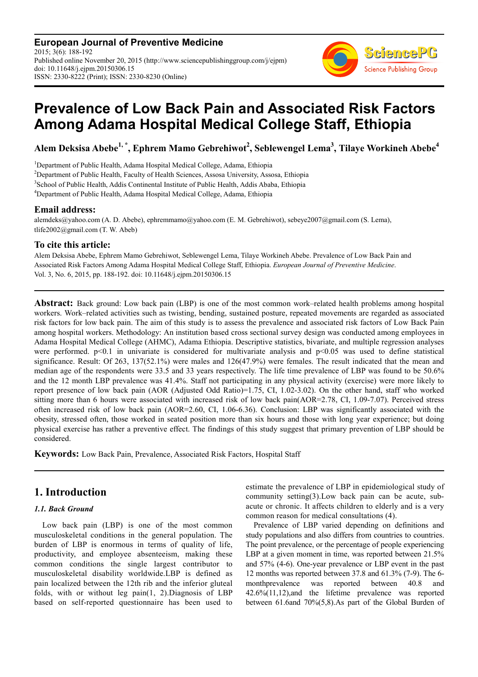**European Journal of Preventive Medicine** 2015; 3(6): 188-192 Published online November 20, 2015 (http://www.sciencepublishinggroup.com/j/ejpm) doi: 10.11648/j.ejpm.20150306.15 ISSN: 2330-8222 (Print); ISSN: 2330-8230 (Online)



# **Prevalence of Low Back Pain and Associated Risk Factors Among Adama Hospital Medical College Staff, Ethiopia**

**Alem Deksisa Abebe1, \*, Ephrem Mamo Gebrehiwot<sup>2</sup> , Seblewengel Lema<sup>3</sup> , Tilaye Workineh Abebe<sup>4</sup>**

<sup>1</sup>Department of Public Health, Adama Hospital Medical College, Adama, Ethiopia <sup>2</sup>Department of Public Health, Faculty of Health Sciences, Assosa University, Assosa, Ethiopia <sup>3</sup> School of Public Health, Addis Continental Institute of Public Health, Addis Ababa, Ethiopia <sup>4</sup>Department of Public Health, Adama Hospital Medical College, Adama, Ethiopia

### **Email address:**

alemdeks@yahoo.com (A. D. Abebe), ephremmamo@yahoo.com (E. M. Gebrehiwot), sebeye2007@gmail.com (S. Lema), tlife2002@gmail.com (T. W. Abeb)

## **To cite this article:**

Alem Deksisa Abebe, Ephrem Mamo Gebrehiwot, Seblewengel Lema, Tilaye Workineh Abebe. Prevalence of Low Back Pain and Associated Risk Factors Among Adama Hospital Medical College Staff, Ethiopia. *European Journal of Preventive Medicine*. Vol. 3, No. 6, 2015, pp. 188-192. doi: 10.11648/j.ejpm.20150306.15

**Abstract:** Back ground: Low back pain (LBP) is one of the most common work–related health problems among hospital workers. Work–related activities such as twisting, bending, sustained posture, repeated movements are regarded as associated risk factors for low back pain. The aim of this study is to assess the prevalence and associated risk factors of Low Back Pain among hospital workers. Methodology: An institution based cross sectional survey design was conducted among employees in Adama Hospital Medical College (AHMC), Adama Ethiopia. Descriptive statistics, bivariate, and multiple regression analyses were performed.  $p<0.1$  in univariate is considered for multivariate analysis and  $p<0.05$  was used to define statistical significance. Result: Of 263, 137(52.1%) were males and 126(47.9%) were females. The result indicated that the mean and median age of the respondents were 33.5 and 33 years respectively. The life time prevalence of LBP was found to be 50.6% and the 12 month LBP prevalence was 41.4%. Staff not participating in any physical activity (exercise) were more likely to report presence of low back pain (AOR (Adjusted Odd Ratio)=1.75, CI, 1.02-3.02). On the other hand, staff who worked sitting more than 6 hours were associated with increased risk of low back pain(AOR=2.78, CI, 1.09-7.07). Perceived stress often increased risk of low back pain (AOR=2.60, CI, 1.06-6.36). Conclusion: LBP was significantly associated with the obesity, stressed often, those worked in seated position more than six hours and those with long year experience; but doing physical exercise has rather a preventive effect. The findings of this study suggest that primary prevention of LBP should be considered.

**Keywords:** Low Back Pain, Prevalence, Associated Risk Factors, Hospital Staff

# **1. Introduction**

### *1.1. Back Ground*

Low back pain (LBP) is one of the most common musculoskeletal conditions in the general population. The burden of LBP is enormous in terms of quality of life, productivity, and employee absenteeism, making these common conditions the single largest contributor to musculoskeletal disability worldwide.LBP is defined as pain localized between the 12th rib and the inferior gluteal folds, with or without leg pain(1, 2).Diagnosis of LBP based on self-reported questionnaire has been used to

estimate the prevalence of LBP in epidemiological study of community setting(3).Low back pain can be acute, subacute or chronic. It affects children to elderly and is a very common reason for medical consultations (4).

Prevalence of LBP varied depending on definitions and study populations and also differs from countries to countries. The point prevalence, or the percentage of people experiencing LBP at a given moment in time, was reported between 21.5% and 57% (4-6). One-year prevalence or LBP event in the past 12 months was reported between 37.8 and 61.3% (7-9). The 6 monthprevalence was reported between 40.8 and 42.6%(11,12),and the lifetime prevalence was reported between 61.6and 70%(5,8).As part of the Global Burden of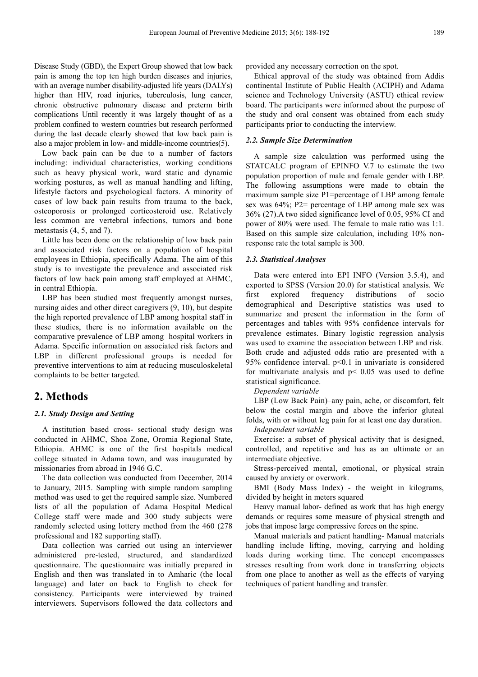Disease Study (GBD), the Expert Group showed that low back pain is among the top ten high burden diseases and injuries, with an average number disability-adjusted life years (DALYs) higher than HIV, road injuries, tuberculosis, lung cancer, chronic obstructive pulmonary disease and preterm birth complications Until recently it was largely thought of as a problem confined to western countries but research performed during the last decade clearly showed that low back pain is also a major problem in low- and middle-income countries(5).

Low back pain can be due to a number of factors including: individual characteristics, working conditions such as heavy physical work, ward static and dynamic working postures, as well as manual handling and lifting, lifestyle factors and psychological factors. A minority of cases of low back pain results from trauma to the back, osteoporosis or prolonged corticosteroid use. Relatively less common are vertebral infections, tumors and bone metastasis (4, 5, and 7).

Little has been done on the relationship of low back pain and associated risk factors on a population of hospital employees in Ethiopia, specifically Adama. The aim of this study is to investigate the prevalence and associated risk factors of low back pain among staff employed at AHMC, in central Ethiopia.

LBP has been studied most frequently amongst nurses, nursing aides and other direct caregivers (9, 10), but despite the high reported prevalence of LBP among hospital staff in these studies, there is no information available on the comparative prevalence of LBP among hospital workers in Adama. Specific information on associated risk factors and LBP in different professional groups is needed for preventive interventions to aim at reducing musculoskeletal complaints to be better targeted.

### **2. Methods**

#### *2.1. Study Design and Setting*

A institution based cross- sectional study design was conducted in AHMC, Shoa Zone, Oromia Regional State, Ethiopia. AHMC is one of the first hospitals medical college situated in Adama town, and was inaugurated by missionaries from abroad in 1946 G.C.

The data collection was conducted from December, 2014 to January, 2015. Sampling with simple random sampling method was used to get the required sample size. Numbered lists of all the population of Adama Hospital Medical College staff were made and 300 study subjects were randomly selected using lottery method from the 460 (278 professional and 182 supporting staff).

Data collection was carried out using an interviewer administered pre-tested, structured, and standardized questionnaire. The questionnaire was initially prepared in English and then was translated in to Amharic (the local language) and later on back to English to check for consistency. Participants were interviewed by trained interviewers. Supervisors followed the data collectors and provided any necessary correction on the spot.

Ethical approval of the study was obtained from Addis continental Institute of Public Health (ACIPH) and Adama science and Technology University (ASTU) ethical review board. The participants were informed about the purpose of the study and oral consent was obtained from each study participants prior to conducting the interview.

#### *2.2. Sample Size Determination*

A sample size calculation was performed using the STATCALC program of EPINFO V.7 to estimate the two population proportion of male and female gender with LBP. The following assumptions were made to obtain the maximum sample size P1=percentage of LBP among female sex was 64%; P2= percentage of LBP among male sex was 36% (27).A two sided significance level of 0.05, 95% CI and power of 80% were used. The female to male ratio was 1:1. Based on this sample size calculation, including 10% nonresponse rate the total sample is 300.

#### *2.3. Statistical Analyses*

Data were entered into EPI INFO (Version 3.5.4), and exported to SPSS (Version 20.0) for statistical analysis. We<br>first explored frequency distributions of socio first explored frequency distributions of socio demographical and Descriptive statistics was used to summarize and present the information in the form of percentages and tables with 95% confidence intervals for prevalence estimates. Binary logistic regression analysis was used to examine the association between LBP and risk. Both crude and adjusted odds ratio are presented with a 95% confidence interval. p<0.1 in univariate is considered for multivariate analysis and  $p < 0.05$  was used to define statistical significance.

*Dependent variable* 

LBP (Low Back Pain)–any pain, ache, or discomfort, felt below the costal margin and above the inferior gluteal folds, with or without leg pain for at least one day duration.

*Independent variable* 

Exercise: a subset of physical activity that is designed, controlled, and repetitive and has as an ultimate or an intermediate objective.

Stress-perceived mental, emotional, or physical strain caused by anxiety or overwork.

BMI (Body Mass Index) - the weight in kilograms, divided by height in meters squared

Heavy manual labor- defined as work that has high energy demands or requires some measure of physical strength and jobs that impose large compressive forces on the spine.

Manual materials and patient handling- Manual materials handling include lifting, moving, carrying and holding loads during working time. The concept encompasses stresses resulting from work done in transferring objects from one place to another as well as the effects of varying techniques of patient handling and transfer.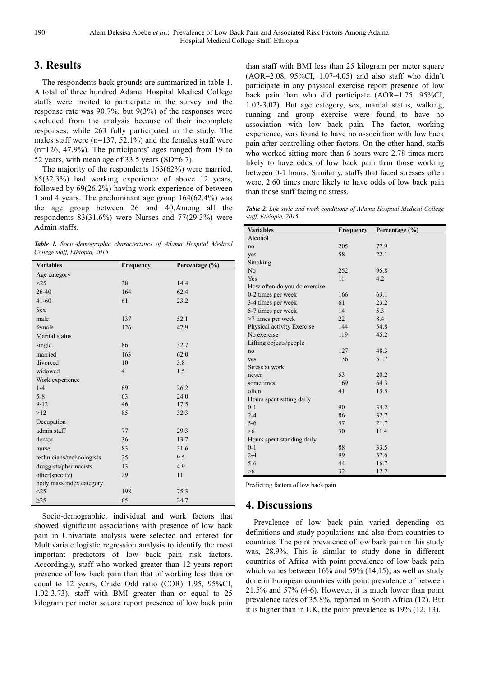# **3. Results**

The respondents back grounds are summarized in table 1. A total of three hundred Adama Hospital Medical College staffs were invited to participate in the survey and the response rate was 90.7%, but 9(3%) of the responses were excluded from the analysis because of their incomplete responses; while 263 fully participated in the study. The males staff were (n=137, 52.1%) and the females staff were (n=126, 47.9%). The participants' ages ranged from 19 to 52 years, with mean age of 33.5 years (SD=6.7).

The majority of the respondents 163(62%) were married. 85(32.3%) had working experience of above 12 years, followed by 69(26.2%) having work experience of between 1 and 4 years. The predominant age group 164(62.4%) was the age group between 26 and 40.Among all the respondents 83(31.6%) were Nurses and 77(29.3%) were Admin staffs.

*Table 1. Socio-demographic characteristics of Adama Hospital Medical College staff, Ethiopia, 2015.* 

| <b>Variables</b>          | Frequency      | Percentage $(\% )$ |  |  |  |  |
|---------------------------|----------------|--------------------|--|--|--|--|
| Age category              |                |                    |  |  |  |  |
| <25                       | 38             | 14.4               |  |  |  |  |
| 26-40                     | 164            | 62.4               |  |  |  |  |
| $41 - 60$                 | 61             | 23.2               |  |  |  |  |
| <b>Sex</b>                |                |                    |  |  |  |  |
| male                      | 137            | 52.1               |  |  |  |  |
| female                    | 126            | 47.9               |  |  |  |  |
| Marital status            |                |                    |  |  |  |  |
| single                    | 86             | 32.7               |  |  |  |  |
| married                   | 163            | 62.0               |  |  |  |  |
| divorced                  | 10             | 3.8                |  |  |  |  |
| widowed                   | $\overline{4}$ | 1.5                |  |  |  |  |
| Work experience           |                |                    |  |  |  |  |
| $1 - 4$                   | 69             | 26.2               |  |  |  |  |
| $5 - 8$                   | 63             | 24.0               |  |  |  |  |
| $9 - 12$                  | 46             | 17.5               |  |  |  |  |
| >12                       | 85             | 32.3               |  |  |  |  |
| Occupation                |                |                    |  |  |  |  |
| admin staff               | 77             | 29.3               |  |  |  |  |
| doctor                    | 36             | 13.7               |  |  |  |  |
| nurse                     | 83             | 31.6               |  |  |  |  |
| technicians/technologists | 25             | 9.5                |  |  |  |  |
| druggists/pharmacists     | 13             | 4.9                |  |  |  |  |
| other(specify)            | 29             | 11                 |  |  |  |  |
| body mass index category  |                |                    |  |  |  |  |
| <25                       | 198            | 75.3               |  |  |  |  |
| $\geq$ 25                 | 65             | 24.7               |  |  |  |  |

Socio-demographic, individual and work factors that showed significant associations with presence of low back pain in Univariate analysis were selected and entered for Multivariate logistic regression analysis to identify the most important predictors of low back pain risk factors. Accordingly, staff who worked greater than 12 years report presence of low back pain than that of working less than or equal to 12 years, Crude Odd ratio (COR)=1.95, 95%CI, 1.02-3.73), staff with BMI greater than or equal to 25 kilogram per meter square report presence of low back pain than staff with BMI less than 25 kilogram per meter square (AOR=2.08, 95%CI, 1.07-4.05) and also staff who didn't participate in any physical exercise report presence of low back pain than who did participate (AOR=1.75, 95%CI, 1.02-3.02). But age category, sex, marital status, walking, running and group exercise were found to have no association with low back pain. The factor, working experience, was found to have no association with low back pain after controlling other factors. On the other hand, staffs who worked sitting more than 6 hours were 2.78 times more likely to have odds of low back pain than those working between 0-1 hours. Similarly, staffs that faced stresses often were, 2.60 times more likely to have odds of low back pain than those staff facing no stress.

*Table 2. Life style and work conditions of Adama Hospital Medical College staff, Ethiopia, 2015.* 

| <b>Variables</b>             | Frequency | Percentage (%) |
|------------------------------|-----------|----------------|
| Alcohol                      |           |                |
| no                           | 205       | 77.9           |
| yes                          | 58        | 22.1           |
| Smoking                      |           |                |
| N <sub>o</sub>               | 252       | 95.8           |
| Yes                          | 11        | 4.2            |
| How often do you do exercise |           |                |
| 0-2 times per week           | 166       | 63.1           |
| 3-4 times per week           | 61        | 23.2           |
| 5-7 times per week           | 14        | 5.3            |
| >7 times per week            | 22        | 8.4            |
| Physical activity Exercise   | 144       | 54.8           |
| No exercise                  | 119       | 45.2           |
| Lifting objects/people       |           |                |
| no                           | 127       | 48.3           |
| yes                          | 136       | 51.7           |
| Stress at work               |           |                |
| never                        | 53        | 20.2           |
| sometimes                    | 169       | 64.3           |
| often                        | 41        | 15.5           |
| Hours spent sitting daily    |           |                |
| $0 - 1$                      | 90        | 34.2           |
| $2 - 4$                      | 86        | 32.7           |
| $5 - 6$                      | 57        | 21.7           |
| $>6$                         | 30        | 11.4           |
| Hours spent standing daily   |           |                |
| $0 - 1$                      | 88        | 33.5           |
| $2 - 4$                      | 99        | 37.6           |
| $5 - 6$                      | 44        | 16.7           |
| >6                           | 32        | 12.2           |

Predicting factors of low back pain

### **4. Discussions**

Prevalence of low back pain varied depending on definitions and study populations and also from countries to countries. The point prevalence of low back pain in this study was, 28.9%. This is similar to study done in different countries of Africa with point prevalence of low back pain which varies between 16% and 59% (14,15); as well as study done in European countries with point prevalence of between 21.5% and 57% (4-6). However, it is much lower than point prevalence rates of 35.8%, reported in South Africa (12). But it is higher than in UK, the point prevalence is 19% (12, 13).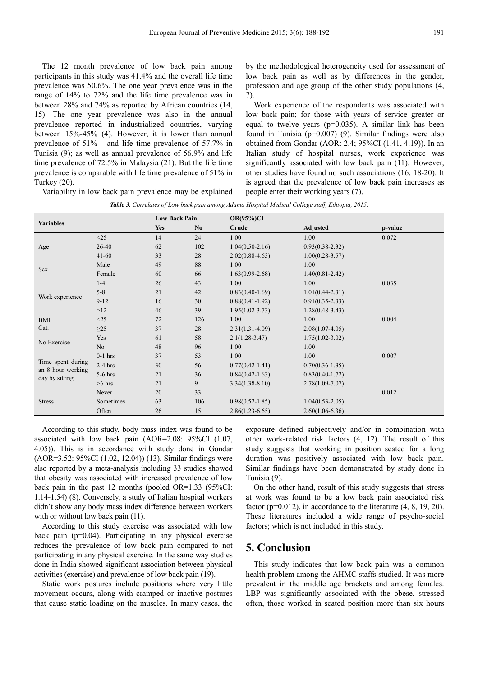The 12 month prevalence of low back pain among participants in this study was 41.4% and the overall life time prevalence was 50.6%. The one year prevalence was in the range of 14% to 72% and the life time prevalence was in between 28% and 74% as reported by African countries (14, 15). The one year prevalence was also in the annual prevalence reported in industrialized countries, varying between 15%-45% (4). However, it is lower than annual prevalence of 51% and life time prevalence of 57.7% in Tunisia (9); as well as annual prevalence of 56.9% and life time prevalence of 72.5% in Malaysia (21). But the life time prevalence is comparable with life time prevalence of 51% in Turkey (20).

by the methodological heterogeneity used for assessment of low back pain as well as by differences in the gender, profession and age group of the other study populations (4, 7).

Work experience of the respondents was associated with low back pain; for those with years of service greater or equal to twelve years  $(p=0.035)$ . A similar link has been found in Tunisia (p=0.007) (9). Similar findings were also obtained from Gondar (AOR: 2.4; 95%CI (1.41, 4.19)). In an Italian study of hospital nurses, work experience was significantly associated with low back pain (11). However, other studies have found no such associations (16, 18-20). It is agreed that the prevalence of low back pain increases as people enter their working years (7).

Variability in low back pain prevalence may be explained

*Table 3. Correlates of Low back pain among Adama Hospital Medical College staff, Ethiopia, 2015.* 

| <b>Variables</b>                                         |           | <b>Low Back Pain</b> |     | <b>OR(95%)CI</b>    |                     |         |
|----------------------------------------------------------|-----------|----------------------|-----|---------------------|---------------------|---------|
|                                                          |           | Yes                  | No. | Crude               | Adjusted            | p-value |
| Age                                                      | <25       | 14                   | 24  | 1.00                | 1.00                | 0.072   |
|                                                          | 26-40     | 62                   | 102 | $1.04(0.50-2.16)$   | $0.93(0.38 - 2.32)$ |         |
|                                                          | $41 - 60$ | 33                   | 28  | $2.02(0.88 - 4.63)$ | $1.00(0.28 - 3.57)$ |         |
| Sex                                                      | Male      | 49                   | 88  | 1.00                | 1.00                |         |
|                                                          | Female    | 60                   | 66  | $1.63(0.99-2.68)$   | $1.40(0.81 - 2.42)$ |         |
| Work experience                                          | $1-4$     | 26                   | 43  | 1.00                | 1.00                | 0.035   |
|                                                          | $5 - 8$   | 21                   | 42  | $0.83(0.40-1.69)$   | $1.01(0.44 - 2.31)$ |         |
|                                                          | $9 - 12$  | 16                   | 30  | $0.88(0.41-1.92)$   | $0.91(0.35-2.33)$   |         |
|                                                          | >12       | 46                   | 39  | $1.95(1.02 - 3.73)$ | $1.28(0.48-3.43)$   |         |
| <b>BMI</b>                                               | <25       | 72                   | 126 | 1.00                | 1.00                | 0.004   |
| Cat.                                                     | $\geq$ 25 | 37                   | 28  | $2.31(1.31-4.09)$   | $2.08(1.07-4.05)$   |         |
| No Exercise                                              | Yes       | 61                   | 58  | $2.1(1.28 - 3.47)$  | $1.75(1.02 - 3.02)$ |         |
|                                                          | No        | 48                   | 96  | 1.00                | 1.00                |         |
| Time spent during<br>an 8 hour working<br>day by sitting | $0-1$ hrs | 37                   | 53  | 1.00                | 1.00                | 0.007   |
|                                                          | $2-4$ hrs | 30                   | 56  | $0.77(0.42 - 1.41)$ | $0.70(0.36 - 1.35)$ |         |
|                                                          | $5-6$ hrs | 21                   | 36  | $0.84(0.42 - 1.63)$ | $0.83(0.40 - 1.72)$ |         |
|                                                          | $>6$ hrs  | 21                   | 9   | $3.34(1.38-8.10)$   | $2.78(1.09 - 7.07)$ |         |
| <b>Stress</b>                                            | Never     | 20                   | 33  |                     |                     | 0.012   |
|                                                          | Sometimes | 63                   | 106 | $0.98(0.52 - 1.85)$ | $1.04(0.53 - 2.05)$ |         |
|                                                          | Often     | 26                   | 15  | $2.86(1.23 - 6.65)$ | $2.60(1.06-6.36)$   |         |

According to this study, body mass index was found to be associated with low back pain (AOR=2.08: 95%CI (1.07, 4.05)). This is in accordance with study done in Gondar (AOR=3.52: 95%CI (1.02, 12.04)) (13). Similar findings were also reported by a meta-analysis including 33 studies showed that obesity was associated with increased prevalence of low back pain in the past 12 months (pooled OR=1.33 (95%CI: 1.14-1.54) (8). Conversely, a study of Italian hospital workers didn't show any body mass index difference between workers with or without low back pain  $(11)$ .

According to this study exercise was associated with low back pain (p=0.04). Participating in any physical exercise reduces the prevalence of low back pain compared to not participating in any physical exercise. In the same way studies done in India showed significant association between physical activities (exercise) and prevalence of low back pain (19).

Static work postures include positions where very little movement occurs, along with cramped or inactive postures that cause static loading on the muscles. In many cases, the exposure defined subjectively and/or in combination with other work-related risk factors (4, 12). The result of this study suggests that working in position seated for a long duration was positively associated with low back pain. Similar findings have been demonstrated by study done in Tunisia (9).

On the other hand, result of this study suggests that stress at work was found to be a low back pain associated risk factor ( $p=0.012$ ), in accordance to the literature  $(4, 8, 19, 20)$ . These literatures included a wide range of psycho-social factors; which is not included in this study.

### **5. Conclusion**

This study indicates that low back pain was a common health problem among the AHMC staffs studied. It was more prevalent in the middle age brackets and among females. LBP was significantly associated with the obese, stressed often, those worked in seated position more than six hours